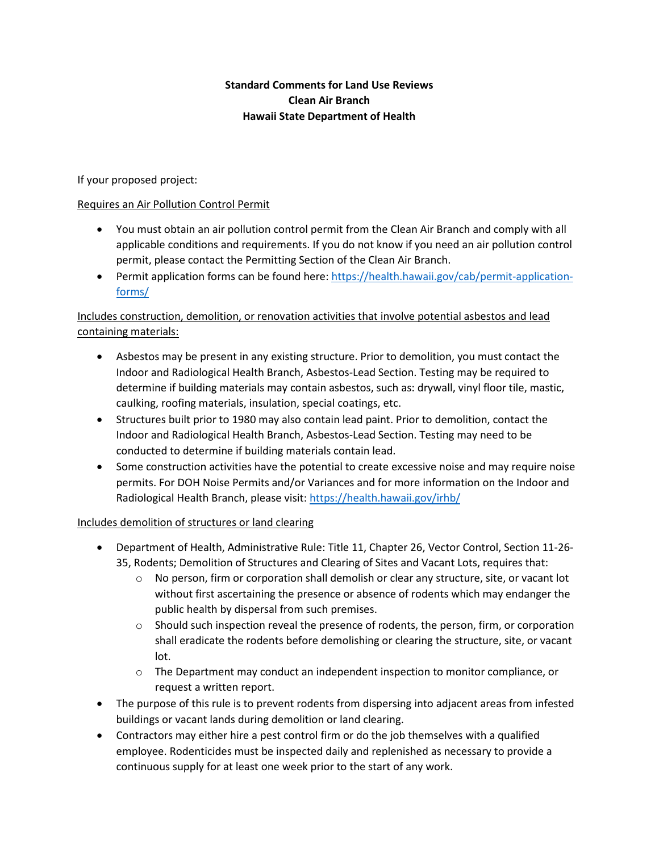### **Standard Comments for Land Use Reviews Clean Air Branch Hawaii State Department of Health**

If your proposed project:

#### Requires an Air Pollution Control Permit

- You must obtain an air pollution control permit from the Clean Air Branch and comply with all applicable conditions and requirements. If you do not know if you need an air pollution control permit, please contact the Permitting Section of the Clean Air Branch.
- Permit application forms can be found here: [https://health.hawaii.gov/cab/permit-application](https://health.hawaii.gov/cab/permit-application-forms/)[forms/](https://health.hawaii.gov/cab/permit-application-forms/)

# Includes construction, demolition, or renovation activities that involve potential asbestos and lead containing materials:

- Asbestos may be present in any existing structure. Prior to demolition, you must contact the Indoor and Radiological Health Branch, Asbestos-Lead Section. Testing may be required to determine if building materials may contain asbestos, such as: drywall, vinyl floor tile, mastic, caulking, roofing materials, insulation, special coatings, etc.
- Structures built prior to 1980 may also contain lead paint. Prior to demolition, contact the Indoor and Radiological Health Branch, Asbestos-Lead Section. Testing may need to be conducted to determine if building materials contain lead.
- Some construction activities have the potential to create excessive noise and may require noise permits. For DOH Noise Permits and/or Variances and for more information on the Indoor and Radiological Health Branch, please visit[: https://health.hawaii.gov/irhb/](https://health.hawaii.gov/irhb/)

#### Includes demolition of structures or land clearing

- Department of Health, Administrative Rule: Title 11, Chapter 26, Vector Control, Section 11-26- 35, Rodents; Demolition of Structures and Clearing of Sites and Vacant Lots, requires that:
	- $\circ$  No person, firm or corporation shall demolish or clear any structure, site, or vacant lot without first ascertaining the presence or absence of rodents which may endanger the public health by dispersal from such premises.
	- $\circ$  Should such inspection reveal the presence of rodents, the person, firm, or corporation shall eradicate the rodents before demolishing or clearing the structure, site, or vacant lot.
	- o The Department may conduct an independent inspection to monitor compliance, or request a written report.
- The purpose of this rule is to prevent rodents from dispersing into adjacent areas from infested buildings or vacant lands during demolition or land clearing.
- Contractors may either hire a pest control firm or do the job themselves with a qualified employee. Rodenticides must be inspected daily and replenished as necessary to provide a continuous supply for at least one week prior to the start of any work.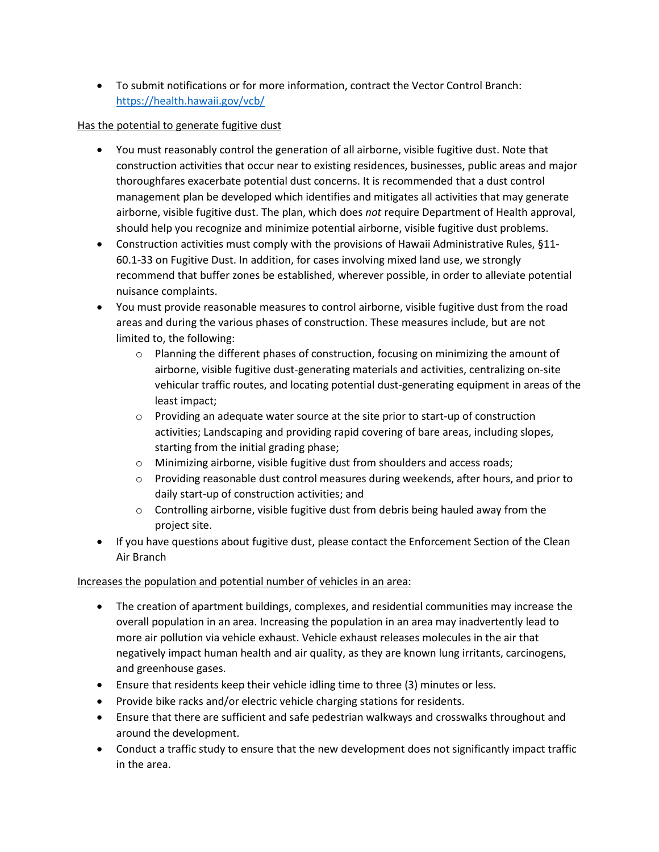• To submit notifications or for more information, contract the Vector Control Branch: <https://health.hawaii.gov/vcb/>

### Has the potential to generate fugitive dust

- You must reasonably control the generation of all airborne, visible fugitive dust. Note that construction activities that occur near to existing residences, businesses, public areas and major thoroughfares exacerbate potential dust concerns. It is recommended that a dust control management plan be developed which identifies and mitigates all activities that may generate airborne, visible fugitive dust. The plan, which does *not* require Department of Health approval, should help you recognize and minimize potential airborne, visible fugitive dust problems.
- Construction activities must comply with the provisions of Hawaii Administrative Rules, §11- 60.1-33 on Fugitive Dust. In addition, for cases involving mixed land use, we strongly recommend that buffer zones be established, wherever possible, in order to alleviate potential nuisance complaints.
- You must provide reasonable measures to control airborne, visible fugitive dust from the road areas and during the various phases of construction. These measures include, but are not limited to, the following:
	- $\circ$  Planning the different phases of construction, focusing on minimizing the amount of airborne, visible fugitive dust-generating materials and activities, centralizing on-site vehicular traffic routes, and locating potential dust-generating equipment in areas of the least impact;
	- $\circ$  Providing an adequate water source at the site prior to start-up of construction activities; Landscaping and providing rapid covering of bare areas, including slopes, starting from the initial grading phase;
	- o Minimizing airborne, visible fugitive dust from shoulders and access roads;
	- $\circ$  Providing reasonable dust control measures during weekends, after hours, and prior to daily start-up of construction activities; and
	- $\circ$  Controlling airborne, visible fugitive dust from debris being hauled away from the project site.
- If you have questions about fugitive dust, please contact the Enforcement Section of the Clean Air Branch

# Increases the population and potential number of vehicles in an area:

- The creation of apartment buildings, complexes, and residential communities may increase the overall population in an area. Increasing the population in an area may inadvertently lead to more air pollution via vehicle exhaust. Vehicle exhaust releases molecules in the air that negatively impact human health and air quality, as they are known lung irritants, carcinogens, and greenhouse gases.
- Ensure that residents keep their vehicle idling time to three (3) minutes or less.
- Provide bike racks and/or electric vehicle charging stations for residents.
- Ensure that there are sufficient and safe pedestrian walkways and crosswalks throughout and around the development.
- Conduct a traffic study to ensure that the new development does not significantly impact traffic in the area.